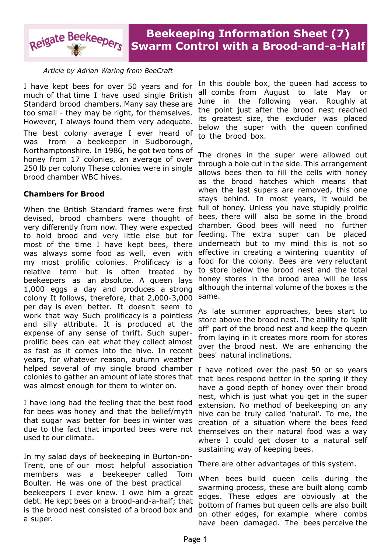

*Article by Adrian Waring from BeeCraft*

I have kept bees for over 50 years and for much of that time I have used single British Standard brood chambers. Many say these are too small - they may be right, for themselves. However, I always found them very adequate.

The best colony average I ever heard of was from a beekeeper in Sudborough, Northamptonshire. In 1986, he got two tons of honey from 17 colonies, an average of over 250 lb per colony These colonies were in single brood chamber WBC hives.

# **Chambers for Brood**

When the British Standard frames were first devised, brood chambers were thought of very differently from now. They were expected to hold brood and very little else but for most of the time I have kept bees, there was always some food as well, even with my most prolific colonies. Prolificacy is a relative term but is often treated by beekeepers as an absolute. A queen lays 1,000 eggs a day and produces a strong colony It follows, therefore, that 2,000-3,000 per day is even better. It doesn't seem to work that way Such prolificacy is a pointless and silly attribute. It is produced at the expense of any sense of thrift. Such superprolific bees can eat what they collect almost as fast as it comes into the hive. In recent years, for whatever reason, autumn weather helped several of my single brood chamber colonies to gather an amount of late stores that was almost enough for them to winter on.

I have long had the feeling that the best food for bees was honey and that the belief/myth that sugar was better for bees in winter was due to the fact that imported bees were not used to our climate.

In my salad days of beekeeping in Burton-on-Trent, one of our most helpful association members was a beekeeper called Tom Boulter. He was one of the best practical beekeepers I ever knew. I owe him a great debt. He kept bees on a brood-and-a-half; that is the brood nest consisted of a brood box and a super.

In this double box, the queen had access to all combs from August to late May or June in the following year. Roughly at the point just after the brood nest reached its greatest size, the excluder was placed below the super with the queen confined to the brood box.

The drones in the super were allowed out through a hole cut in the side. This arrangement allows bees then to fill the cells with honey as the brood hatches which means that when the last supers are removed, this one stays behind. In most years, it would be full of honey. Unless you have stupidly prolific bees, there will also be some in the brood chamber. Good bees will need no further feeding. The extra super can be placed underneath but to my mind this is not so effective in creating a wintering quantity of food for the colony. Bees are very reluctant to store below the brood nest and the total honey stores in the brood area will be less although the internal volume of the boxes is the same.

As late summer approaches, bees start to store above the brood nest. The ability to 'split off' part of the brood nest and keep the queen from laying in it creates more room for stores over the brood nest. We are enhancing the bees' natural inclinations.

I have noticed over the past 50 or so years that bees respond better in the spring if they have a good depth of honey over their brood nest, which is just what you get in the super extension. No method of beekeeping on any hive can be truly called 'natural'. To me, the creation of a situation where the bees feed themselves on their natural food was a way where I could get closer to a natural self sustaining way of keeping bees.

There are other advantages of this system.

When bees build queen cells during the swarming process, these are built along comb edges. These edges are obviously at the bottom of frames but queen cells are also built on other edges, for example where combs have been damaged. The bees perceive the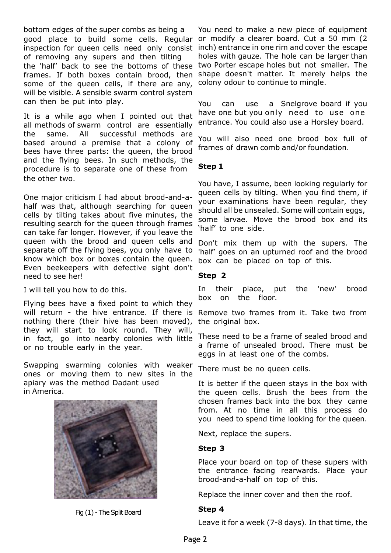bottom edges of the super combs as being a good place to build some cells. Regular or modify a clearer board. Cut a 50 mm (2 inspection for queen cells need only consist inch) entrance in one rim and cover the escape of removing any supers and then tilting the 'half' back to see the bottoms of these frames. If both boxes contain brood, then some of the queen cells, if there are any, will be visible. A sensible swarm control system can then be put into play.

It is a while ago when I pointed out that all methods of swarm control are essentially the same. All successful methods are based around a premise that a colony of bees have three parts: the queen, the brood and the flying bees. In such methods, the procedure is to separate one of these from the other two.

One major criticism I had about brood-and-ahalf was that, although searching for queen cells by tilting takes about five minutes, the resulting search for the queen through frames can take far longer. However, if you leave the queen with the brood and queen cells and separate off the flying bees, you only have to know which box or boxes contain the queen. Even beekeepers with defective sight don't need to see her!

I will tell you how to do this.

Flying bees have a fixed point to which they will return - the hive entrance. If there is nothing there (their hive has been moved), they will start to look round. They will, in fact, go into nearby colonies with little or no trouble early in the year.

Swapping swarming colonies with weaker ones or moving them to new sites in the apiary was the method Dadant used in America.



Fig (1) - The Split Board

You need to make a new piece of equipment holes with gauze. The hole can be larger than two Porter escape holes but not smaller. The shape doesn't matter. It merely helps the colony odour to continue to mingle.

You can use a Snelgrove board if you have one but you only need to use one entrance. You could also use a Horsley board.

You will also need one brood box full of frames of drawn comb and/or foundation.

# **Step 1**

You have, I assume, been looking regularly for queen cells by tilting. When you find them, if your examinations have been regular, they should all be unsealed. Some will contain eggs, some larvae. Move the brood box and its 'half' to one side.

Don't mix them up with the supers. The 'half' goes on an upturned roof and the brood box can be placed on top of this.

### **Step 2**

In their place, put the 'new' brood box on the floor.

Remove two frames from it. Take two from the original box.

These need to be a frame of sealed brood and a frame of unsealed brood. There must be eggs in at least one of the combs.

There must be no queen cells.

It is better if the queen stays in the box with the queen cells. Brush the bees from the chosen frames back into the box they came from. At no time in all this process do you need to spend time looking for the queen.

Next, replace the supers.

# **Step 3**

Place your board on top of these supers with the entrance facing rearwards. Place your brood-and-a-half on top of this.

Replace the inner cover and then the roof.

# **Step 4**

Leave it for a week (7-8 days). In that time, the